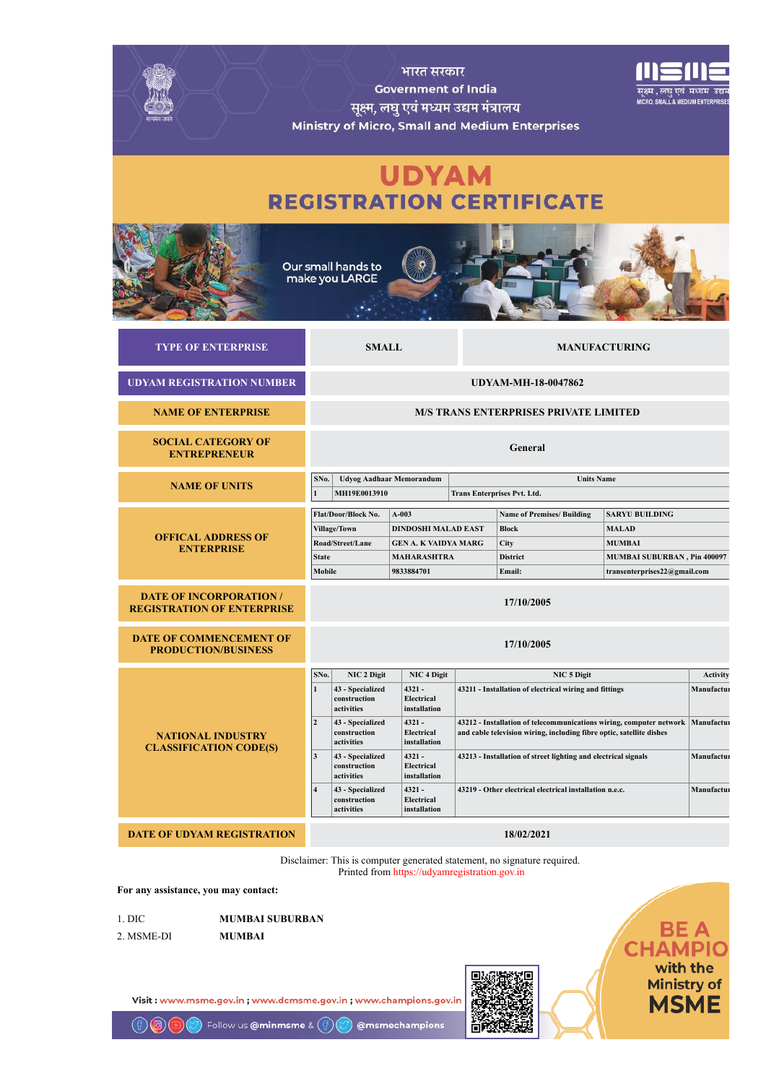|                                                                     |                                                                                                                                                                                                                                                           | भारत सरकार<br><b>Government of India</b><br>सूक्ष्म, लघु एवं मध्यम उद्यम मंत्रालय                        |                                                                | Ministry of Micro, Small and Medium Enterprises                                        | नक्ष्म , लघ एव<br><b>MICRO, SMALL &amp; MEDIUM ENTERI</b>                                                             |                               |
|---------------------------------------------------------------------|-----------------------------------------------------------------------------------------------------------------------------------------------------------------------------------------------------------------------------------------------------------|----------------------------------------------------------------------------------------------------------|----------------------------------------------------------------|----------------------------------------------------------------------------------------|-----------------------------------------------------------------------------------------------------------------------|-------------------------------|
|                                                                     |                                                                                                                                                                                                                                                           | <b>UDYAM</b>                                                                                             |                                                                | <b>REGISTRATION CERTIFICATE</b>                                                        |                                                                                                                       |                               |
|                                                                     | Our small hands to<br>make you LARGE                                                                                                                                                                                                                      |                                                                                                          |                                                                |                                                                                        |                                                                                                                       |                               |
| <b>TYPE OF ENTERPRISE</b>                                           | <b>SMALL</b>                                                                                                                                                                                                                                              |                                                                                                          |                                                                |                                                                                        | <b>MANUFACTURING</b>                                                                                                  |                               |
| <b>UDYAM REGISTRATION NUMBER</b>                                    |                                                                                                                                                                                                                                                           |                                                                                                          |                                                                | <b>UDYAM-MH-18-0047862</b>                                                             |                                                                                                                       |                               |
| <b>NAME OF ENTERPRISE</b>                                           |                                                                                                                                                                                                                                                           |                                                                                                          |                                                                | <b>M/S TRANS ENTERPRISES PRIVATE LIMITED</b>                                           |                                                                                                                       |                               |
| <b>SOCIAL CATEGORY OF</b><br><b>ENTREPRENEUR</b>                    |                                                                                                                                                                                                                                                           |                                                                                                          |                                                                | General                                                                                |                                                                                                                       |                               |
| <b>NAME OF UNITS</b>                                                | SNo.<br>MH19E0013910                                                                                                                                                                                                                                      | <b>Udyog Aadhaar Memorandum</b>                                                                          |                                                                | <b>Units Name</b><br>Trans Enterprises Pvt. Ltd.                                       |                                                                                                                       |                               |
| <b>OFFICAL ADDRESS OF</b><br><b>ENTERPRISE</b>                      | Flat/Door/Block No.<br>Village/Town<br>Road/Street/Lane<br><b>State</b><br>Mobile                                                                                                                                                                         | $A-003$<br><b>DINDOSHI MALAD EAST</b><br><b>GEN A. K VAIDYA MARG</b><br><b>MAHARASHTRA</b><br>9833884701 |                                                                | <b>Name of Premises/ Building</b><br><b>Block</b><br>City<br><b>District</b><br>Email: | <b>SARYU BUILDING</b><br><b>MALAD</b><br><b>MUMBAI</b><br>MUMBAI SUBURBAN, Pin 400097<br>transenterprises22@gmail.com |                               |
| <b>DATE OF INCORPORATION /</b><br><b>REGISTRATION OF ENTERPRISE</b> |                                                                                                                                                                                                                                                           |                                                                                                          |                                                                | 17/10/2005                                                                             |                                                                                                                       |                               |
| <b>DATE OF COMMENCEMENT OF</b><br><b>PRODUCTION/BUSINESS</b>        |                                                                                                                                                                                                                                                           |                                                                                                          |                                                                | 17/10/2005                                                                             |                                                                                                                       |                               |
|                                                                     | SNo.<br>NIC 2 Digit<br>$\mathbf{1}$<br>43 - Specialized<br>construction<br>activities                                                                                                                                                                     | NIC <sub>4</sub> Digit<br>$4321 -$<br>Electrical<br>installation                                         |                                                                | NIC 5 Digit<br>43211 - Installation of electrical wiring and fittings                  |                                                                                                                       | <b>Activity</b><br>Manufactur |
| <b>NATIONAL INDUSTRY</b><br><b>CLASSIFICATION CODE(S)</b>           | $4321 -$<br>$\overline{2}$<br>43 - Specialized<br>43212 - Installation of telecommunications wiring, computer network<br>construction<br>Electrical<br>and cable television wiring, including fibre optic, satellite dishes<br>activities<br>installation |                                                                                                          |                                                                | Manufactur                                                                             |                                                                                                                       |                               |
|                                                                     | $\mathbf{3}$<br>43 - Specialized<br>construction<br>activities                                                                                                                                                                                            | 4321 -<br>Electrical<br>installation                                                                     | 43213 - Installation of street lighting and electrical signals |                                                                                        |                                                                                                                       | Manufactur                    |
|                                                                     | $\overline{4}$<br>43 - Specialized                                                                                                                                                                                                                        | $4321 -$<br>Electrical                                                                                   | 43219 - Other electrical electrical installation n.e.c.        |                                                                                        |                                                                                                                       | Manufactur                    |
|                                                                     | construction<br>activities                                                                                                                                                                                                                                | installation                                                                                             |                                                                |                                                                                        |                                                                                                                       |                               |
| <b>DATE OF UDYAM REGISTRATION</b>                                   |                                                                                                                                                                                                                                                           |                                                                                                          |                                                                | 18/02/2021                                                                             |                                                                                                                       |                               |

For any assistance, you may contact:

回)

1. DIC MUMBAI SUBURBAN 2. MSME-DI MUMBAI

Visit: www.msme.gov.in; www.dcmsme.gov.in; www.champions.gov.in



Follow us **@minmsme** &  $\left(\begin{matrix} 0 \\ 1 \end{matrix}\right)$ @msmechampions with the<br>Ministry of<br>MSME

BE A<br>CHAMPIO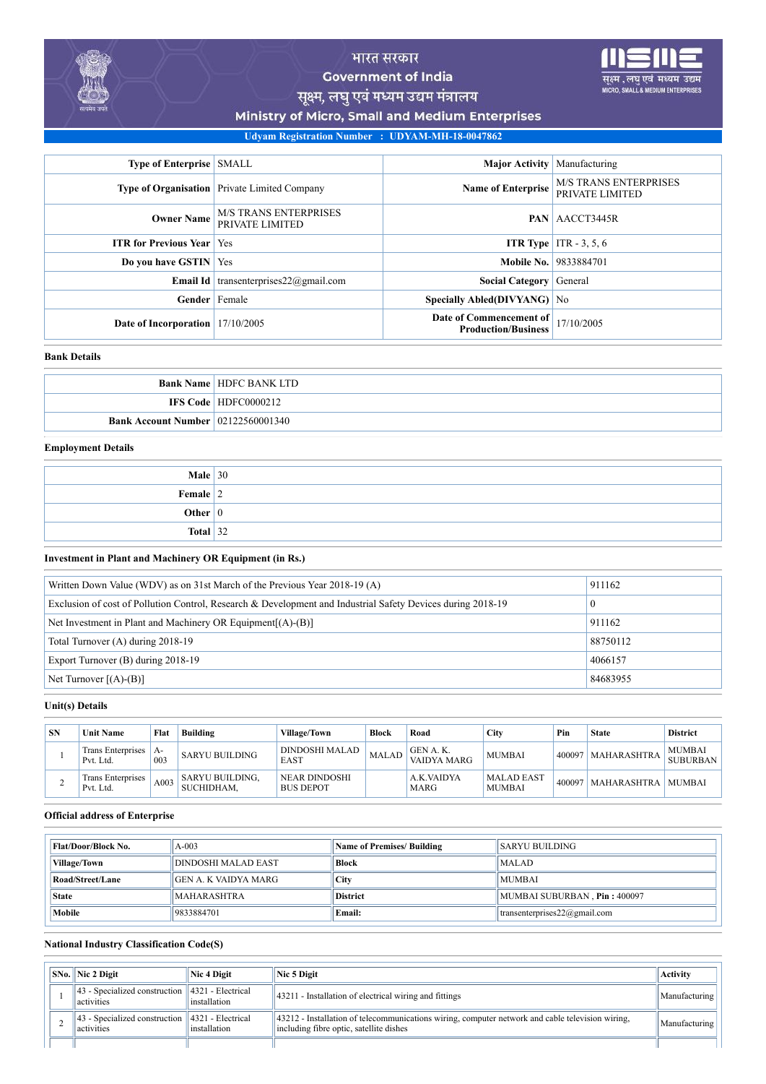

मध्यम उद्यम

**LL & MEDIUM ENTERE** 

Ministry of Micro, Small and Medium Enterprises

# Udyam Registration Number : UDYAM-MH-18-0047862

| <b>Type of Enterprise</b> SMALL |                                                     | <b>Major Activity</b> Manufacturing                   |                                                 |
|---------------------------------|-----------------------------------------------------|-------------------------------------------------------|-------------------------------------------------|
|                                 | <b>Type of Organisation</b> Private Limited Company | <b>Name of Enterprise</b>                             | <b>M/S TRANS ENTERPRISES</b><br>PRIVATE LIMITED |
| <b>Owner Name</b>               | <b>M/S TRANS ENTERPRISES</b><br>PRIVATE LIMITED     |                                                       | <b>PAN AACCT3445R</b>                           |
| <b>ITR</b> for Previous Year    | Yes                                                 |                                                       | <b>ITR Type</b> ITR $-3, 5, 6$                  |
| Do you have GSTIN   Yes         |                                                     |                                                       | <b>Mobile No.</b> 9833884701                    |
| <b>Email Id</b>                 | transenterprises $22@$ gmail.com                    | <b>Social Category</b> General                        |                                                 |
| Gender                          | Female                                              | Specially Abled(DIVYANG) No                           |                                                 |
| Date of Incorporation           | 17/10/2005                                          | Date of Commencement of<br><b>Production/Business</b> | 17/10/2005                                      |

#### Bank Details

|                                           | <b>Bank Name   HDFC BANK LTD</b> |
|-------------------------------------------|----------------------------------|
|                                           | <b>IFS Code   HDFC0000212</b>    |
| <b>Bank Account Number</b> 02122560001340 |                                  |

#### Employment Details

| <b>Male</b> $30$ |  |
|------------------|--|
| Female $ 2 $     |  |
| Other $ 0 $      |  |
| Total $ 32 $     |  |

Investment in Plant and Machinery OR Equipment (in Rs.)

| Written Down Value (WDV) as on 31st March of the Previous Year 2018-19 (A)                                  | 911162   |
|-------------------------------------------------------------------------------------------------------------|----------|
| Exclusion of cost of Pollution Control, Research & Development and Industrial Safety Devices during 2018-19 | 0        |
| Net Investment in Plant and Machinery OR Equipment $[(A)$ - $(B)]$                                          | 911162   |
| Total Turnover (A) during 2018-19                                                                           | 88750112 |
| Export Turnover (B) during 2018-19                                                                          | 4066157  |
| Net Turnover $[(A)-B]$                                                                                      | 84683955 |

## Unit(s) Details

| <b>SN</b> | <b>Unit Name</b>                      | Flat                  | <b>Building</b>                      | <b>Village/Town</b>                      | Block        | Road                    | <b>City</b>                        | Pin    | <b>State</b>       | <b>District</b>                  |
|-----------|---------------------------------------|-----------------------|--------------------------------------|------------------------------------------|--------------|-------------------------|------------------------------------|--------|--------------------|----------------------------------|
|           | Trans Enterprises<br>Pvt. Ltd.        | A-<br>00 <sup>3</sup> | SARYU BUILDING                       | DINDOSHI MALAD<br>EAST                   | <b>MALAD</b> | GEN A.K.<br>VAIDYA MARG | <b>MUMBAI</b>                      | 400097 | MAHARASHTRA        | <b>MUMBAI</b><br><b>SUBURBAN</b> |
|           | <b>Trans Enterprises</b><br>Pvt. Ltd. | A003                  | <b>SARYU BUILDING,</b><br>SUCHIDHAM. | <b>NEAR DINDOSHI</b><br><b>BUS DEPOT</b> |              | A.K.VAIDYA<br>MARG      | <b>MALAD EAST</b><br><b>MUMBAI</b> | 400097 | <b>MAHARASHTRA</b> | <b>MUMBAI</b>                    |

#### Official address of Enterprise

| Flat/Door/Block No. | $A - 003$                   | <b>Name of Premises/ Building</b> | SARYU BUILDING                   |
|---------------------|-----------------------------|-----------------------------------|----------------------------------|
| Village/Town        | DINDOSHI MALAD EAST         | <b>Block</b>                      | MALAD                            |
| Road/Street/Lane    | <b>GEN A. K VAIDYA MARG</b> | City                              | <b>MUMBAI</b>                    |
| <b>State</b>        | <b>MAHARASHTRA</b>          | <b>District</b>                   | MUMBAI SUBURBAN, Pin: 400097     |
| Mobile              | 9833884701                  | Email:                            | transenterprises $22@$ gmail.com |

## National Industry Classification Code(S)

|  | $\vert$ SNo. $\vert$ Nic 2 Digit                                                      | Nic 4 Digit  | Nic 5 Digit                                                                                                                                             | Activity      |
|--|---------------------------------------------------------------------------------------|--------------|---------------------------------------------------------------------------------------------------------------------------------------------------------|---------------|
|  | $\parallel$ 43 - Specialized construction $\parallel$ 4321 - Electrical<br>activities | installation | 43211 - Installation of electrical wiring and fittings                                                                                                  | Manufacturing |
|  | $\parallel$ 43 - Specialized construction $\parallel$ 4321 - Electrical<br>activities | installation | $\parallel$ 43212 - Installation of telecommunications wiring, computer network and cable television wiring,<br>including fibre optic, satellite dishes | Manufacturing |
|  |                                                                                       |              |                                                                                                                                                         |               |